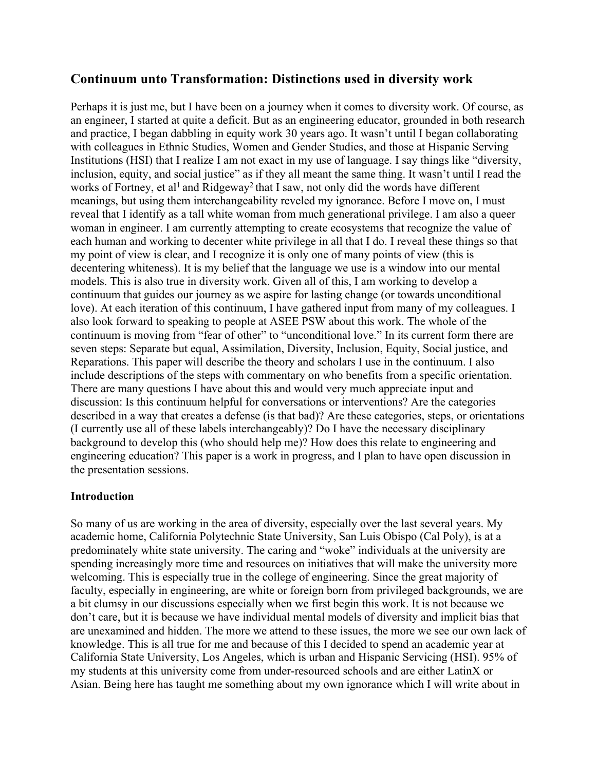# **Continuum unto Transformation: Distinctions used in diversity work**

Perhaps it is just me, but I have been on a journey when it comes to diversity work. Of course, as an engineer, I started at quite a deficit. But as an engineering educator, grounded in both research and practice, I began dabbling in equity work 30 years ago. It wasn't until I began collaborating with colleagues in Ethnic Studies, Women and Gender Studies, and those at Hispanic Serving Institutions (HSI) that I realize I am not exact in my use of language. I say things like "diversity, inclusion, equity, and social justice" as if they all meant the same thing. It wasn't until I read the works of Fortney, et al<sup>1</sup> and Ridgeway<sup>2</sup> that I saw, not only did the words have different meanings, but using them interchangeability reveled my ignorance. Before I move on, I must reveal that I identify as a tall white woman from much generational privilege. I am also a queer woman in engineer. I am currently attempting to create ecosystems that recognize the value of each human and working to decenter white privilege in all that I do. I reveal these things so that my point of view is clear, and I recognize it is only one of many points of view (this is decentering whiteness). It is my belief that the language we use is a window into our mental models. This is also true in diversity work. Given all of this, I am working to develop a continuum that guides our journey as we aspire for lasting change (or towards unconditional love). At each iteration of this continuum, I have gathered input from many of my colleagues. I also look forward to speaking to people at ASEE PSW about this work. The whole of the continuum is moving from "fear of other" to "unconditional love." In its current form there are seven steps: Separate but equal, Assimilation, Diversity, Inclusion, Equity, Social justice, and Reparations. This paper will describe the theory and scholars I use in the continuum. I also include descriptions of the steps with commentary on who benefits from a specific orientation. There are many questions I have about this and would very much appreciate input and discussion: Is this continuum helpful for conversations or interventions? Are the categories described in a way that creates a defense (is that bad)? Are these categories, steps, or orientations (I currently use all of these labels interchangeably)? Do I have the necessary disciplinary background to develop this (who should help me)? How does this relate to engineering and engineering education? This paper is a work in progress, and I plan to have open discussion in the presentation sessions.

#### **Introduction**

So many of us are working in the area of diversity, especially over the last several years. My academic home, California Polytechnic State University, San Luis Obispo (Cal Poly), is at a predominately white state university. The caring and "woke" individuals at the university are spending increasingly more time and resources on initiatives that will make the university more welcoming. This is especially true in the college of engineering. Since the great majority of faculty, especially in engineering, are white or foreign born from privileged backgrounds, we are a bit clumsy in our discussions especially when we first begin this work. It is not because we don't care, but it is because we have individual mental models of diversity and implicit bias that are unexamined and hidden. The more we attend to these issues, the more we see our own lack of knowledge. This is all true for me and because of this I decided to spend an academic year at California State University, Los Angeles, which is urban and Hispanic Servicing (HSI). 95% of my students at this university come from under-resourced schools and are either LatinX or Asian. Being here has taught me something about my own ignorance which I will write about in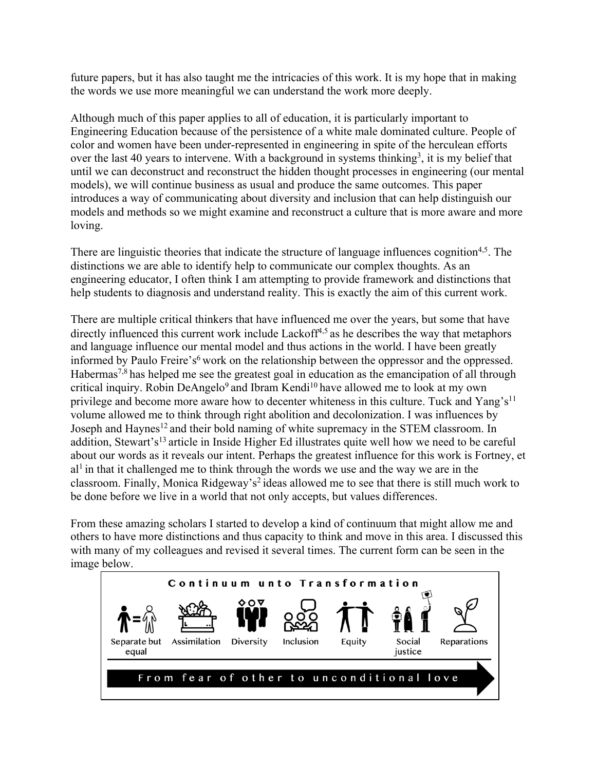future papers, but it has also taught me the intricacies of this work. It is my hope that in making the words we use more meaningful we can understand the work more deeply.

Although much of this paper applies to all of education, it is particularly important to Engineering Education because of the persistence of a white male dominated culture. People of color and women have been under-represented in engineering in spite of the herculean efforts over the last 40 years to intervene. With a background in systems thinking<sup>3</sup>, it is my belief that until we can deconstruct and reconstruct the hidden thought processes in engineering (our mental models), we will continue business as usual and produce the same outcomes. This paper introduces a way of communicating about diversity and inclusion that can help distinguish our models and methods so we might examine and reconstruct a culture that is more aware and more loving.

There are linguistic theories that indicate the structure of language influences cognition<sup>4,5</sup>. The distinctions we are able to identify help to communicate our complex thoughts. As an engineering educator, I often think I am attempting to provide framework and distinctions that help students to diagnosis and understand reality. This is exactly the aim of this current work.

There are multiple critical thinkers that have influenced me over the years, but some that have directly influenced this current work include Lackoff<sup>4,5</sup> as he describes the way that metaphors and language influence our mental model and thus actions in the world. I have been greatly informed by Paulo Freire's<sup>6</sup> work on the relationship between the oppressor and the oppressed. Habermas<sup>7,8</sup> has helped me see the greatest goal in education as the emancipation of all through critical inquiry. Robin DeAngelo<sup>9</sup> and Ibram Kendi<sup>10</sup> have allowed me to look at my own privilege and become more aware how to decenter whiteness in this culture. Tuck and Yang's<sup>11</sup> volume allowed me to think through right abolition and decolonization. I was influences by Joseph and Haynes<sup>12</sup> and their bold naming of white supremacy in the STEM classroom. In addition, Stewart's<sup>13</sup> article in Inside Higher Ed illustrates quite well how we need to be careful about our words as it reveals our intent. Perhaps the greatest influence for this work is Fortney, et  $al<sup>1</sup>$  in that it challenged me to think through the words we use and the way we are in the classroom. Finally, Monica Ridgeway's<sup>2</sup> ideas allowed me to see that there is still much work to be done before we live in a world that not only accepts, but values differences.

From these amazing scholars I started to develop a kind of continuum that might allow me and others to have more distinctions and thus capacity to think and move in this area. I discussed this with many of my colleagues and revised it several times. The current form can be seen in the image below.

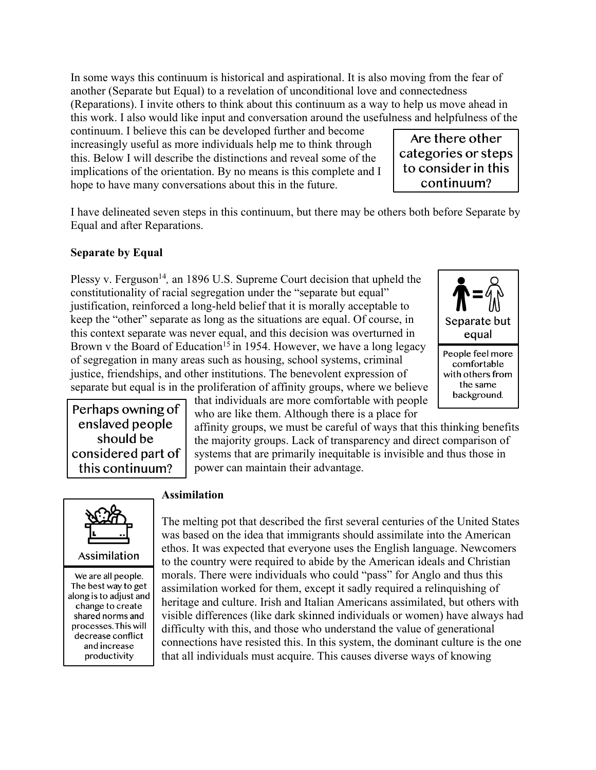In some ways this continuum is historical and aspirational. It is also moving from the fear of another (Separate but Equal) to a revelation of unconditional love and connectedness (Reparations). I invite others to think about this continuum as a way to help us move ahead in this work. I also would like input and conversation around the usefulness and helpfulness of the

continuum. I believe this can be developed further and become increasingly useful as more individuals help me to think through this. Below I will describe the distinctions and reveal some of the implications of the orientation. By no means is this complete and I hope to have many conversations about this in the future.

I have delineated seven steps in this continuum, but there may be others both before Separate by Equal and after Reparations.

### **Separate by Equal**

Plessy v. Ferguson<sup>14</sup>, an 1896 U.S. Supreme Court decision that upheld the constitutionality of racial segregation under the "separate but equal" justification, reinforced a long-held belief that it is morally acceptable to keep the "other" separate as long as the situations are equal. Of course, in this context separate was never equal, and this decision was overturned in Brown v the Board of Education<sup>15</sup> in 1954. However, we have a long legacy of segregation in many areas such as housing, school systems, criminal justice, friendships, and other institutions. The benevolent expression of separate but equal is in the proliferation of affinity groups, where we believe



Perhaps owning of enslaved people should be considered part of this continuum?

that individuals are more comfortable with people who are like them. Although there is a place for

affinity groups, we must be careful of ways that this thinking benefits the majority groups. Lack of transparency and direct comparison of systems that are primarily inequitable is invisible and thus those in power can maintain their advantage.



We are all people. The best way to get along is to adjust and change to create shared norms and processes. This will decrease conflict and increase productivity

#### **Assimilation**

The melting pot that described the first several centuries of the United States was based on the idea that immigrants should assimilate into the American ethos. It was expected that everyone uses the English language. Newcomers to the country were required to abide by the American ideals and Christian morals. There were individuals who could "pass" for Anglo and thus this assimilation worked for them, except it sadly required a relinquishing of heritage and culture. Irish and Italian Americans assimilated, but others with visible differences (like dark skinned individuals or women) have always had difficulty with this, and those who understand the value of generational connections have resisted this. In this system, the dominant culture is the one that all individuals must acquire. This causes diverse ways of knowing

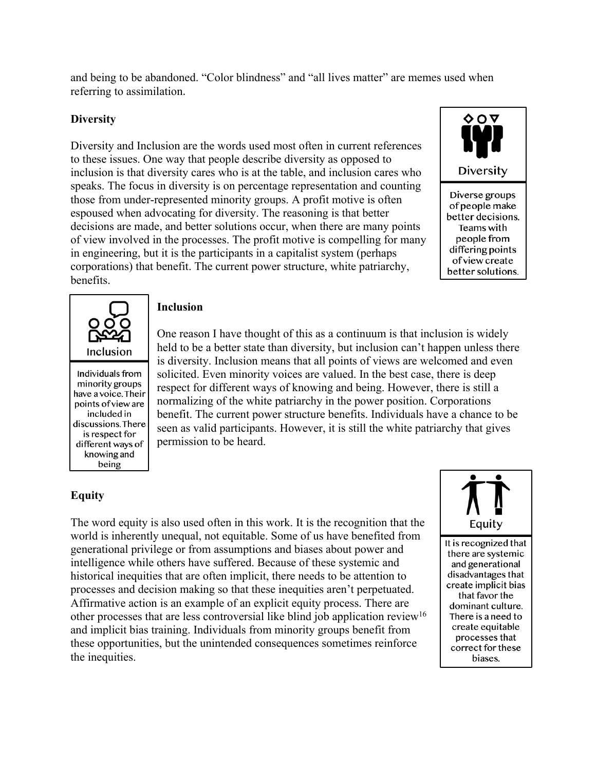and being to be abandoned. "Color blindness" and "all lives matter" are memes used when referring to assimilation.

### **Diversity**

Diversity and Inclusion are the words used most often in current references to these issues. One way that people describe diversity as opposed to inclusion is that diversity cares who is at the table, and inclusion cares who speaks. The focus in diversity is on percentage representation and counting those from under-represented minority groups. A profit motive is often espoused when advocating for diversity. The reasoning is that better decisions are made, and better solutions occur, when there are many points of view involved in the processes. The profit motive is compelling for many in engineering, but it is the participants in a capitalist system (perhaps corporations) that benefit. The current power structure, white patriarchy, benefits.





Individuals from minority groups have a voice. Their points of view are included in discussions. There is respect for different ways of knowing and being

#### **Inclusion**

One reason I have thought of this as a continuum is that inclusion is widely held to be a better state than diversity, but inclusion can't happen unless there is diversity. Inclusion means that all points of views are welcomed and even solicited. Even minority voices are valued. In the best case, there is deep respect for different ways of knowing and being. However, there is still a normalizing of the white patriarchy in the power position. Corporations benefit. The current power structure benefits. Individuals have a chance to be seen as valid participants. However, it is still the white patriarchy that gives permission to be heard.

# **Equity**

The word equity is also used often in this work. It is the recognition that the world is inherently unequal, not equitable. Some of us have benefited from generational privilege or from assumptions and biases about power and intelligence while others have suffered. Because of these systemic and historical inequities that are often implicit, there needs to be attention to processes and decision making so that these inequities aren't perpetuated. Affirmative action is an example of an explicit equity process. There are other processes that are less controversial like blind job application review16 and implicit bias training. Individuals from minority groups benefit from these opportunities, but the unintended consequences sometimes reinforce the inequities.



It is recognized that there are systemic and generational disadvantages that create implicit bias that favor the dominant culture. There is a need to create equitable processes that correct for these biases.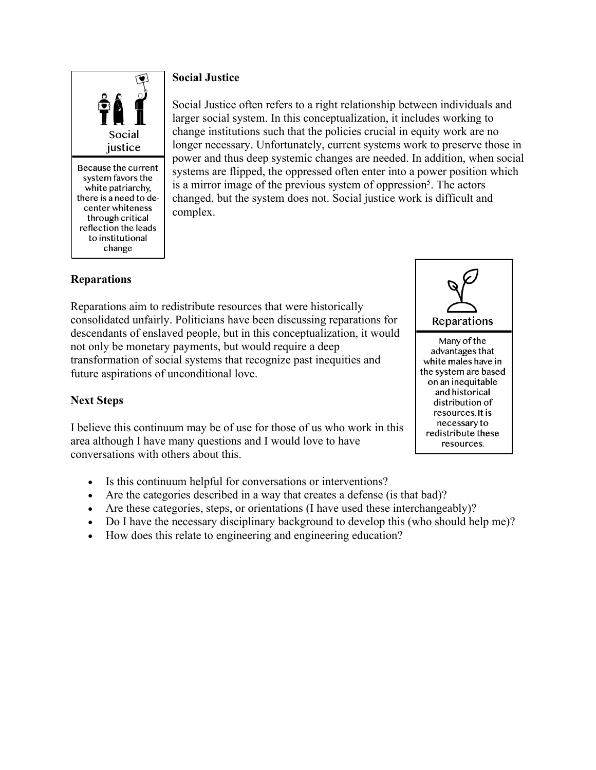

Because the current system favors the white patriarchy, there is a need to decenter whiteness through critical reflection the leads to institutional change

# **Social Justice**

Social Justice often refers to a right relationship between individuals and larger social system. In this conceptualization, it includes working to change institutions such that the policies crucial in equity work are no longer necessary. Unfortunately, current systems work to preserve those in power and thus deep systemic changes are needed. In addition, when social systems are flipped, the oppressed often enter into a power position which is a mirror image of the previous system of oppression<sup>5</sup>. The actors changed, but the system does not. Social justice work is difficult and complex.

# **Reparations**

Reparations aim to redistribute resources that were historically consolidated unfairly. Politicians have been discussing reparations for descendants of enslaved people, but in this conceptualization, it would not only be monetary payments, but would require a deep transformation of social systems that recognize past inequities and future aspirations of unconditional love.



resources. It is necessary to redistribute these resources.

### **Next Steps**

I believe this continuum may be of use for those of us who work in this area although I have many questions and I would love to have conversations with others about this.

- Is this continuum helpful for conversations or interventions?
- Are the categories described in a way that creates a defense (is that bad)?
- Are these categories, steps, or orientations (I have used these interchangeably)?
- Do I have the necessary disciplinary background to develop this (who should help me)?
- How does this relate to engineering and engineering education?